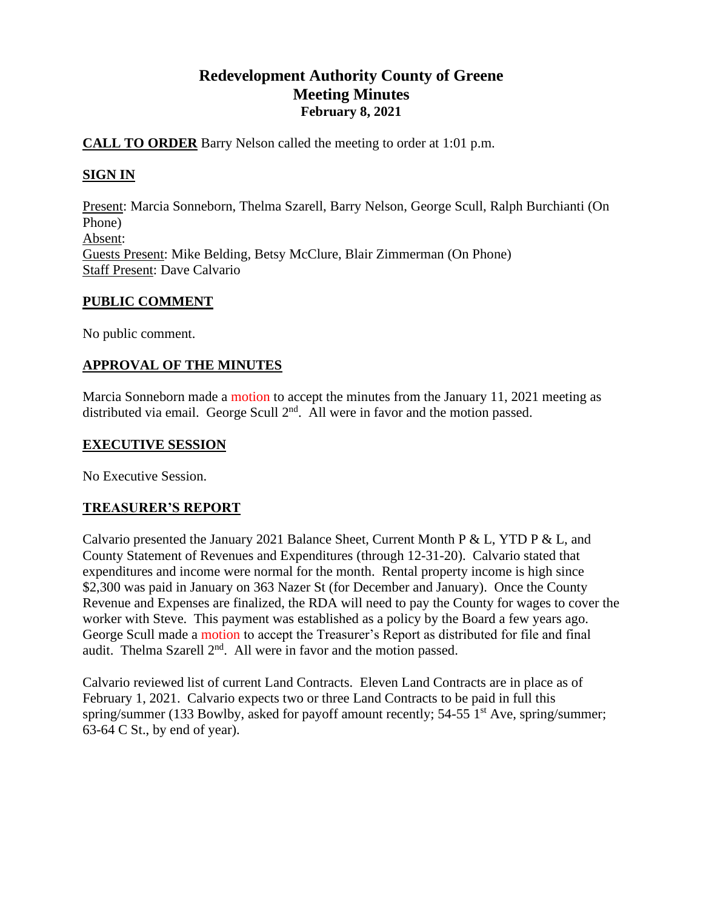# **Redevelopment Authority County of Greene Meeting Minutes February 8, 2021**

## **CALL TO ORDER** Barry Nelson called the meeting to order at 1:01 p.m.

## **SIGN IN**

Present: Marcia Sonneborn, Thelma Szarell, Barry Nelson, George Scull, Ralph Burchianti (On Phone) Absent: Guests Present: Mike Belding, Betsy McClure, Blair Zimmerman (On Phone) Staff Present: Dave Calvario

### **PUBLIC COMMENT**

No public comment.

## **APPROVAL OF THE MINUTES**

Marcia Sonneborn made a motion to accept the minutes from the January 11, 2021 meeting as distributed via email. George Scull  $2<sup>nd</sup>$ . All were in favor and the motion passed.

#### **EXECUTIVE SESSION**

No Executive Session.

### **TREASURER'S REPORT**

Calvario presented the January 2021 Balance Sheet, Current Month P & L, YTD P & L, and County Statement of Revenues and Expenditures (through 12-31-20). Calvario stated that expenditures and income were normal for the month. Rental property income is high since \$2,300 was paid in January on 363 Nazer St (for December and January). Once the County Revenue and Expenses are finalized, the RDA will need to pay the County for wages to cover the worker with Steve. This payment was established as a policy by the Board a few years ago. George Scull made a motion to accept the Treasurer's Report as distributed for file and final audit. Thelma Szarell  $2<sup>nd</sup>$ . All were in favor and the motion passed.

Calvario reviewed list of current Land Contracts. Eleven Land Contracts are in place as of February 1, 2021. Calvario expects two or three Land Contracts to be paid in full this spring/summer (133 Bowlby, asked for payoff amount recently;  $54-55$  1<sup>st</sup> Ave, spring/summer; 63-64 C St., by end of year).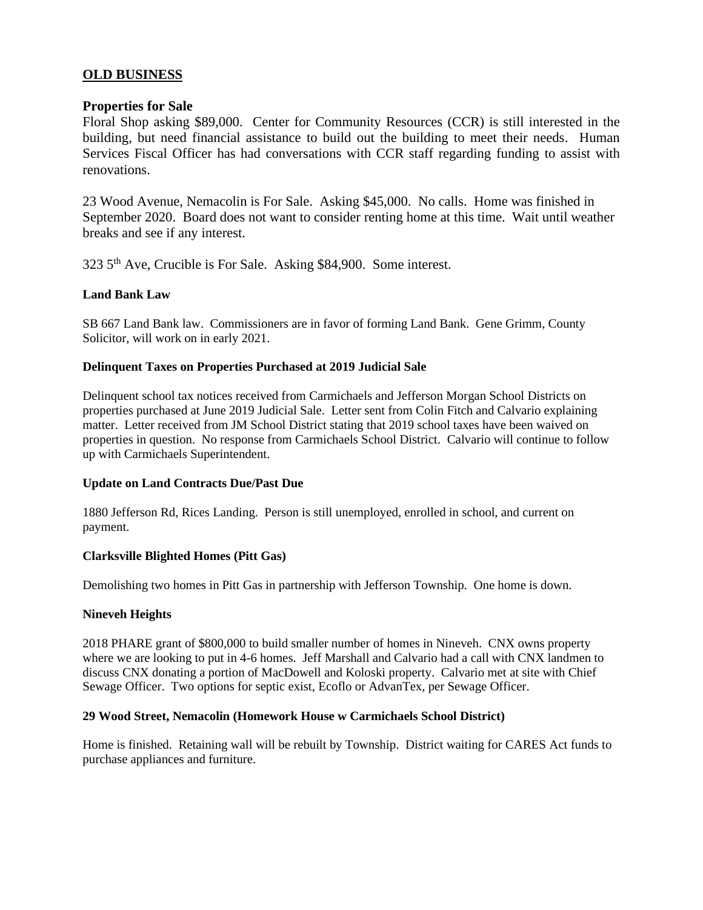#### **OLD BUSINESS**

#### **Properties for Sale**

Floral Shop asking \$89,000. Center for Community Resources (CCR) is still interested in the building, but need financial assistance to build out the building to meet their needs. Human Services Fiscal Officer has had conversations with CCR staff regarding funding to assist with renovations.

23 Wood Avenue, Nemacolin is For Sale. Asking \$45,000. No calls. Home was finished in September 2020. Board does not want to consider renting home at this time. Wait until weather breaks and see if any interest.

323 5th Ave, Crucible is For Sale. Asking \$84,900. Some interest.

#### **Land Bank Law**

SB 667 Land Bank law. Commissioners are in favor of forming Land Bank. Gene Grimm, County Solicitor, will work on in early 2021.

#### **Delinquent Taxes on Properties Purchased at 2019 Judicial Sale**

Delinquent school tax notices received from Carmichaels and Jefferson Morgan School Districts on properties purchased at June 2019 Judicial Sale. Letter sent from Colin Fitch and Calvario explaining matter. Letter received from JM School District stating that 2019 school taxes have been waived on properties in question. No response from Carmichaels School District. Calvario will continue to follow up with Carmichaels Superintendent.

#### **Update on Land Contracts Due/Past Due**

1880 Jefferson Rd, Rices Landing. Person is still unemployed, enrolled in school, and current on payment.

#### **Clarksville Blighted Homes (Pitt Gas)**

Demolishing two homes in Pitt Gas in partnership with Jefferson Township. One home is down.

#### **Nineveh Heights**

2018 PHARE grant of \$800,000 to build smaller number of homes in Nineveh. CNX owns property where we are looking to put in 4-6 homes. Jeff Marshall and Calvario had a call with CNX landmen to discuss CNX donating a portion of MacDowell and Koloski property. Calvario met at site with Chief Sewage Officer. Two options for septic exist, Ecoflo or AdvanTex, per Sewage Officer.

#### **29 Wood Street, Nemacolin (Homework House w Carmichaels School District)**

Home is finished. Retaining wall will be rebuilt by Township. District waiting for CARES Act funds to purchase appliances and furniture.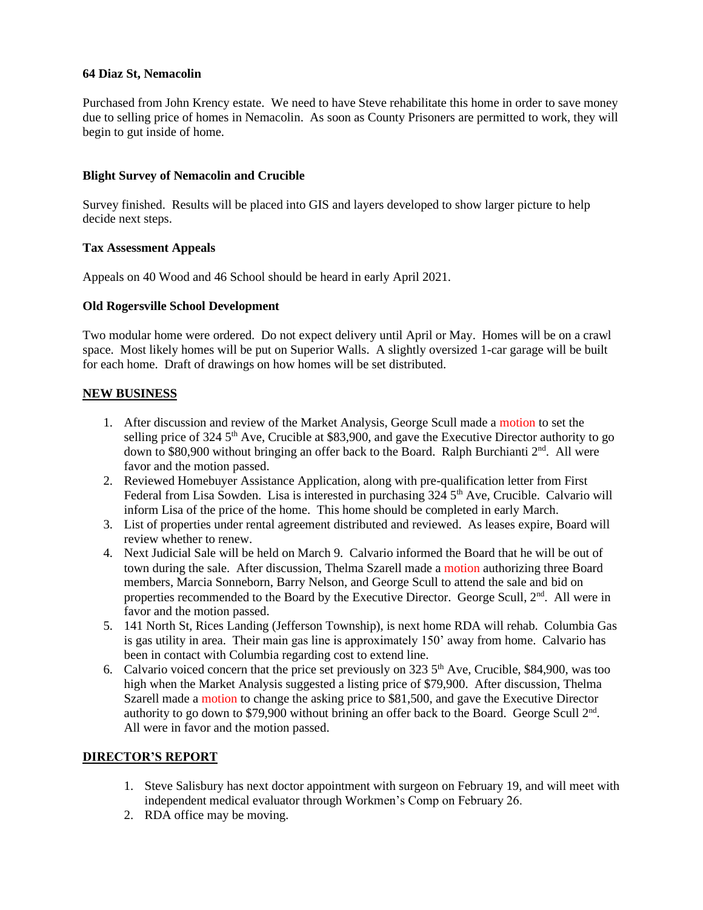#### **64 Diaz St, Nemacolin**

Purchased from John Krency estate. We need to have Steve rehabilitate this home in order to save money due to selling price of homes in Nemacolin. As soon as County Prisoners are permitted to work, they will begin to gut inside of home.

#### **Blight Survey of Nemacolin and Crucible**

Survey finished. Results will be placed into GIS and layers developed to show larger picture to help decide next steps.

#### **Tax Assessment Appeals**

Appeals on 40 Wood and 46 School should be heard in early April 2021.

#### **Old Rogersville School Development**

Two modular home were ordered. Do not expect delivery until April or May. Homes will be on a crawl space. Most likely homes will be put on Superior Walls. A slightly oversized 1-car garage will be built for each home. Draft of drawings on how homes will be set distributed.

#### **NEW BUSINESS**

- 1. After discussion and review of the Market Analysis, George Scull made a motion to set the selling price of 324  $5<sup>th</sup>$  Ave, Crucible at \$83,900, and gave the Executive Director authority to go down to \$80,900 without bringing an offer back to the Board. Ralph Burchianti 2<sup>nd</sup>. All were favor and the motion passed.
- 2. Reviewed Homebuyer Assistance Application, along with pre-qualification letter from First Federal from Lisa Sowden. Lisa is interested in purchasing  $324.5<sup>th</sup>$  Ave, Crucible. Calvario will inform Lisa of the price of the home. This home should be completed in early March.
- 3. List of properties under rental agreement distributed and reviewed. As leases expire, Board will review whether to renew.
- 4. Next Judicial Sale will be held on March 9. Calvario informed the Board that he will be out of town during the sale. After discussion, Thelma Szarell made a motion authorizing three Board members, Marcia Sonneborn, Barry Nelson, and George Scull to attend the sale and bid on properties recommended to the Board by the Executive Director. George Scull, 2<sup>nd</sup>. All were in favor and the motion passed.
- 5. 141 North St, Rices Landing (Jefferson Township), is next home RDA will rehab. Columbia Gas is gas utility in area. Their main gas line is approximately 150' away from home. Calvario has been in contact with Columbia regarding cost to extend line.
- 6. Calvario voiced concern that the price set previously on 323  $5<sup>th</sup>$  Ave, Crucible, \$84,900, was too high when the Market Analysis suggested a listing price of \$79,900. After discussion, Thelma Szarell made a motion to change the asking price to \$81,500, and gave the Executive Director authority to go down to \$79,900 without brining an offer back to the Board. George Scull  $2<sup>nd</sup>$ . All were in favor and the motion passed.

#### **DIRECTOR'S REPORT**

- 1. Steve Salisbury has next doctor appointment with surgeon on February 19, and will meet with independent medical evaluator through Workmen's Comp on February 26.
- 2. RDA office may be moving.